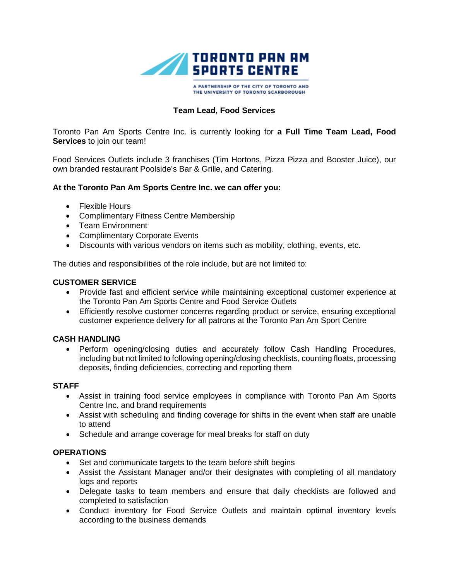

A PARTNERSHIP OF THE CITY OF TORONTO AND THE UNIVERSITY OF TORONTO SCARBOROUGH

# **Team Lead, Food Services**

Toronto Pan Am Sports Centre Inc. is currently looking for **a Full Time Team Lead, Food Services** to join our team!

Food Services Outlets include 3 franchises (Tim Hortons, Pizza Pizza and Booster Juice), our own branded restaurant Poolside's Bar & Grille, and Catering.

### **At the Toronto Pan Am Sports Centre Inc. we can offer you:**

- Flexible Hours
- Complimentary Fitness Centre Membership
- Team Environment
- Complimentary Corporate Events
- Discounts with various vendors on items such as mobility, clothing, events, etc.

The duties and responsibilities of the role include, but are not limited to:

#### **CUSTOMER SERVICE**

- Provide fast and efficient service while maintaining exceptional customer experience at the Toronto Pan Am Sports Centre and Food Service Outlets
- Efficiently resolve customer concerns regarding product or service, ensuring exceptional customer experience delivery for all patrons at the Toronto Pan Am Sport Centre

#### **CASH HANDLING**

• Perform opening/closing duties and accurately follow Cash Handling Procedures, including but not limited to following opening/closing checklists, counting floats, processing deposits, finding deficiencies, correcting and reporting them

#### **STAFF**

- Assist in training food service employees in compliance with Toronto Pan Am Sports Centre Inc. and brand requirements
- Assist with scheduling and finding coverage for shifts in the event when staff are unable to attend
- Schedule and arrange coverage for meal breaks for staff on duty

### **OPERATIONS**

- Set and communicate targets to the team before shift begins
- Assist the Assistant Manager and/or their designates with completing of all mandatory logs and reports
- Delegate tasks to team members and ensure that daily checklists are followed and completed to satisfaction
- Conduct inventory for Food Service Outlets and maintain optimal inventory levels according to the business demands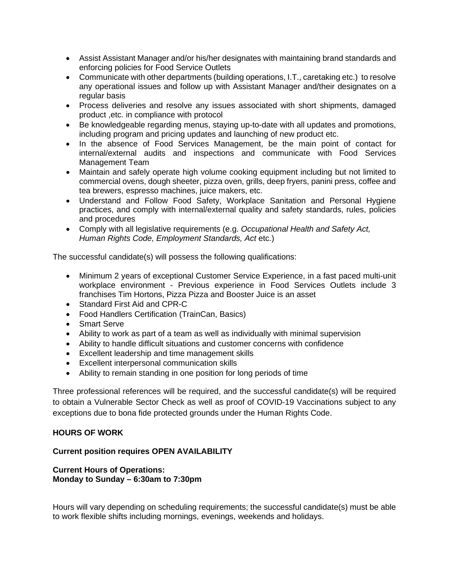- Assist Assistant Manager and/or his/her designates with maintaining brand standards and enforcing policies for Food Service Outlets
- Communicate with other departments (building operations, I.T., caretaking etc.) to resolve any operational issues and follow up with Assistant Manager and/their designates on a regular basis
- Process deliveries and resolve any issues associated with short shipments, damaged product ,etc. in compliance with protocol
- Be knowledgeable regarding menus, staying up-to-date with all updates and promotions, including program and pricing updates and launching of new product etc.
- In the absence of Food Services Management, be the main point of contact for internal/external audits and inspections and communicate with Food Services Management Team
- Maintain and safely operate high volume cooking equipment including but not limited to commercial ovens, dough sheeter, pizza oven, grills, deep fryers, panini press, coffee and tea brewers, espresso machines, juice makers, etc.
- Understand and Follow Food Safety, Workplace Sanitation and Personal Hygiene practices, and comply with internal/external quality and safety standards, rules, policies and procedures
- Comply with all legislative requirements (e.g. *Occupational Health and Safety Act, Human Rights Code, Employment Standards, Act* etc.)

The successful candidate(s) will possess the following qualifications:

- Minimum 2 years of exceptional Customer Service Experience, in a fast paced multi-unit workplace environment - Previous experience in Food Services Outlets include 3 franchises Tim Hortons, Pizza Pizza and Booster Juice is an asset
- Standard First Aid and CPR-C
- Food Handlers Certification (TrainCan, Basics)
- Smart Serve
- Ability to work as part of a team as well as individually with minimal supervision
- Ability to handle difficult situations and customer concerns with confidence
- Excellent leadership and time management skills
- Excellent interpersonal communication skills
- Ability to remain standing in one position for long periods of time

Three professional references will be required, and the successful candidate(s) will be required to obtain a Vulnerable Sector Check as well as proof of COVID-19 Vaccinations subject to any exceptions due to bona fide protected grounds under the Human Rights Code.

## **HOURS OF WORK**

## **Current position requires OPEN AVAILABILITY**

## **Current Hours of Operations: Monday to Sunday – 6:30am to 7:30pm**

Hours will vary depending on scheduling requirements; the successful candidate(s) must be able to work flexible shifts including mornings, evenings, weekends and holidays.